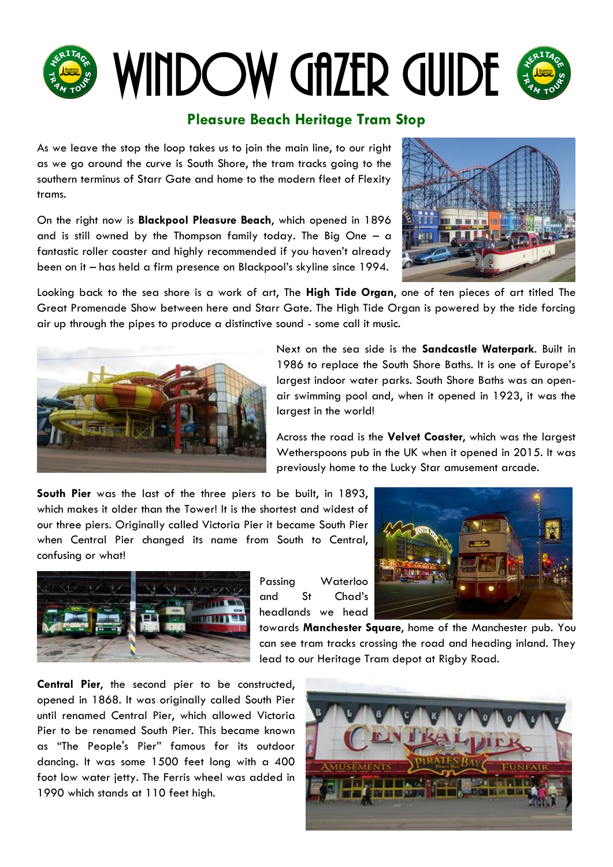# WINDOW GAZER GUIDE

### **Pleasure Beach Heritage Tram Stop**

As we leave the stop the loop takes us to join the main line, to our right as we go around the curve is South Shore, the tram tracks going to the southern terminus of Starr Gate and home to the modern fleet of Flexity trams.

On the right now is **Blackpool Pleasure Beach**, which opened in 1896 and is still owned by the Thompson family today. The Big One  $-$  a fantastic roller coaster and highly recommended if you haven't already been on it – has held a firm presence on Blackpool"s skyline since 1994.



Looking back to the sea shore is a work of art, The **High Tide Organ**, one of ten pieces of art titled The Great Promenade Show between here and Starr Gate. The High Tide Organ is powered by the tide forcing air up through the pipes to produce a distinctive sound - some call it music.



Next on the sea side is the **Sandcastle Waterpark**. Built in 1986 to replace the South Shore Baths. It is one of Europe"s largest indoor water parks. South Shore Baths was an openair swimming pool and, when it opened in 1923, it was the largest in the world!

Across the road is the **Velvet Coaster**, which was the largest Wetherspoons pub in the UK when it opened in 2015. It was previously home to the Lucky Star amusement arcade.

**South Pier** was the last of the three piers to be built, in 1893, which makes it older than the Tower! It is the shortest and widest of our three piers. Originally called Victoria Pier it became South Pier when Central Pier changed its name from South to Central, confusing or what!



Passing Waterloo and St Chad"s headlands we head



towards **Manchester Square**, home of the Manchester pub. You can see tram tracks crossing the road and heading inland. They lead to our Heritage Tram depot at Rigby Road.

**Central Pier**, the second pier to be constructed, opened in 1868. It was originally called South Pier until renamed Central Pier, which allowed Victoria Pier to be renamed South Pier. This became known as "The People's Pier" famous for its outdoor dancing. It was some 1500 feet long with a 400 foot low water jetty. The Ferris wheel was added in 1990 which stands at 110 feet high.

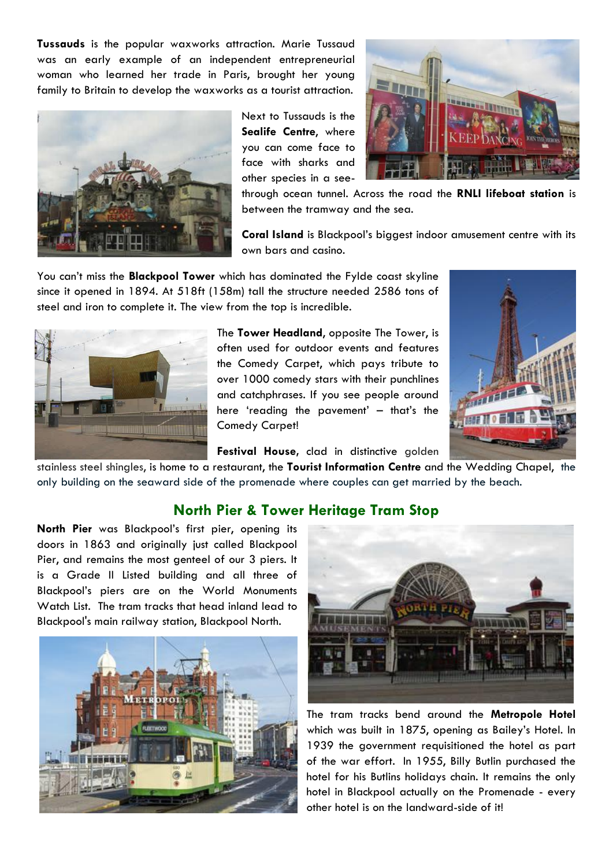**Tussauds** is the popular waxworks attraction. Marie Tussaud was an early example of an independent entrepreneurial woman who learned her trade in Paris, brought her young family to Britain to develop the waxworks as a tourist attraction.



Next to Tussauds is the **Sealife Centre**, where you can come face to face with sharks and other species in a see-



through ocean tunnel. Across the road the **RNLI lifeboat station** is between the tramway and the sea.

**Coral Island** is Blackpool"s biggest indoor amusement centre with its own bars and casino.

You can"t miss the **Blackpool Tower** which has dominated the Fylde coast skyline since it opened in 1894. At 518ft (158m) tall the structure needed 2586 tons of steel and iron to complete it. The view from the top is incredible.



The **Tower Headland**, opposite The Tower, is often used for outdoor events and features the Comedy Carpet, which pays tribute to over 1000 comedy stars with their punchlines and catchphrases. If you see people around here 'reading the pavement' - that's the Comedy Carpet!



Festival House, clad in distinctive golden

stainless steel shingles, is home to a restaurant, the **Tourist Information Centre** and the Wedding Chapel, the only building on the seaward side of the promenade where couples can get married by the beach.

#### **North Pier & Tower Heritage Tram Stop**

**North Pier** was Blackpool"s first pier, opening its doors in 1863 and originally just called Blackpool Pier, and remains the most genteel of our 3 piers. It is a Grade II Listed building and all three of Blackpool"s piers are on the World Monuments Watch List. The tram tracks that head inland lead to Blackpool's main railway station, Blackpool North.





The tram tracks bend around the **Metropole Hotel** which was built in 1875, opening as Bailey"s Hotel. In 1939 the government requisitioned the hotel as part of the war effort. In 1955, Billy Butlin purchased the hotel for his Butlins holidays chain. It remains the only hotel in Blackpool actually on the Promenade - every other hotel is on the landward-side of it!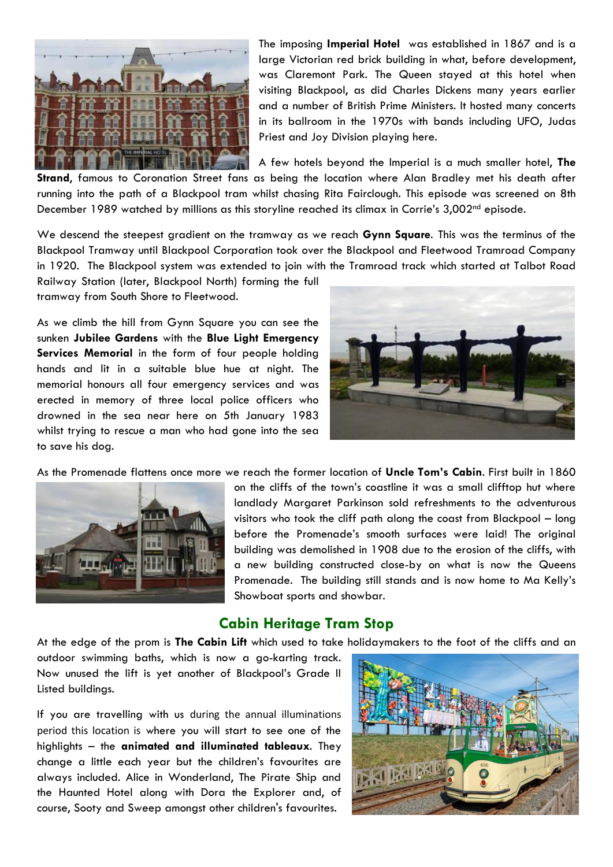

The imposing **Imperial Hotel** was established in 1867 and is a large Victorian red brick building in what, before development, was Claremont Park. The Queen stayed at this hotel when visiting Blackpool, as did Charles Dickens many years earlier and a number of British Prime Ministers. It hosted many concerts in its ballroom in the 1970s with bands including UFO, Judas Priest and Joy Division playing here.

A few hotels beyond the Imperial is a much smaller hotel, **The Strand**, famous to Coronation Street fans as being the location where Alan Bradley met his death after running into the path of a Blackpool tram whilst chasing Rita Fairclough. This episode was screened on 8th December 1989 watched by millions as this storyline reached its climax in Corrie's 3,002<sup>nd</sup> episode.

We descend the steepest gradient on the tramway as we reach **Gynn Square**. This was the terminus of the Blackpool Tramway until Blackpool Corporation took over the Blackpool and Fleetwood Tramroad Company in 1920. The Blackpool system was extended to join with the Tramroad track which started at Talbot Road

Railway Station (later, Blackpool North) forming the full tramway from South Shore to Fleetwood.

As we climb the hill from Gynn Square you can see the sunken **Jubilee Gardens** with the **Blue Light Emergency Services Memorial** in the form of four people holding hands and lit in a suitable blue hue at night. The memorial honours all four emergency services and was erected in memory of three local police officers who drowned in the sea near here on 5th January 1983 whilst trying to rescue a man who had gone into the sea to save his dog.



As the Promenade flattens once more we reach the former location of **Uncle Tom's Cabin**. First built in 1860



on the cliffs of the town"s coastline it was a small clifftop hut where landlady Margaret Parkinson sold refreshments to the adventurous visitors who took the cliff path along the coast from Blackpool – long before the Promenade"s smooth surfaces were laid! The original building was demolished in 1908 due to the erosion of the cliffs, with a new building constructed close-by on what is now the Queens Promenade. The building still stands and is now home to Ma Kelly"s Showboat sports and showbar.

#### **Cabin Heritage Tram Stop**

At the edge of the prom is **The Cabin Lift** which used to take holidaymakers to the foot of the cliffs and an

outdoor swimming baths, which is now a go-karting track. Now unused the lift is yet another of Blackpool"s Grade II Listed buildings.

If you are travelling with us during the annual illuminations period this location is where you will start to see one of the highlights – the **animated and illuminated tableaux**. They change a little each year but the children"s favourites are always included. Alice in Wonderland, The Pirate Ship and the Haunted Hotel along with Dora the Explorer and, of course, Sooty and Sweep amongst other children's favourites.